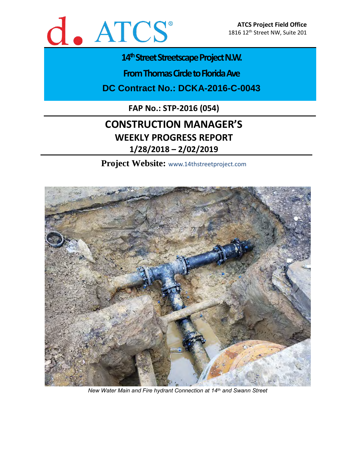

# 14<sup>th</sup> Street Streetscape Project N.W.

**From Thomas Circle to Florida Ave** 

**DC Contract No.: DCKA-2016-C-0043**

**FAP No.: STP-2016 (054)**

# **CONSTRUCTION MANAGER'S WEEKLY PROGRESS REPORT 1/28/2018 – 2/02/2019**

**Project Website:** www.14thstreetproject.com



*New Water Main and Fire hydrant Connection at 14th and Swann Street*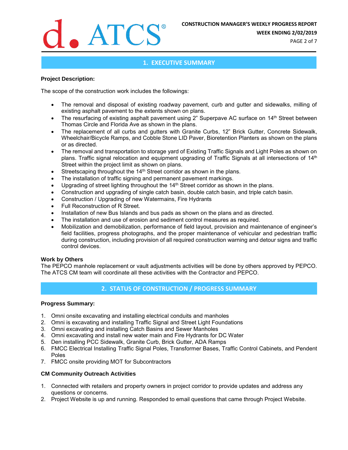

**WEEK ENDING 2/02/2019**

PAGE 2 of 7

### **1. EXECUTIVE SUMMARY**

#### **Project Description:**

The scope of the construction work includes the followings:

- The removal and disposal of existing roadway pavement, curb and gutter and sidewalks, milling of existing asphalt pavement to the extents shown on plans.
- The resurfacing of existing asphalt pavement using 2" Superpave AC surface on 14<sup>th</sup> Street between Thomas Circle and Florida Ave as shown in the plans.
- The replacement of all curbs and gutters with Granite Curbs, 12" Brick Gutter, Concrete Sidewalk, Wheelchair/Bicycle Ramps, and Cobble Stone LID Paver, Bioretention Planters as shown on the plans or as directed.
- The removal and transportation to storage yard of Existing Traffic Signals and Light Poles as shown on plans. Traffic signal relocation and equipment upgrading of Traffic Signals at all intersections of 14<sup>th</sup> Street within the project limit as shown on plans.
- Streetscaping throughout the 14<sup>th</sup> Street corridor as shown in the plans.
- The installation of traffic signing and permanent pavement markings.
- Upgrading of street lighting throughout the 14<sup>th</sup> Street corridor as shown in the plans.
- Construction and upgrading of single catch basin, double catch basin, and triple catch basin.
- Construction / Upgrading of new Watermains, Fire Hydrants
- Full Reconstruction of R Street.
- Installation of new Bus Islands and bus pads as shown on the plans and as directed.
- The installation and use of erosion and sediment control measures as required.
- Mobilization and demobilization, performance of field layout, provision and maintenance of engineer's field facilities, progress photographs, and the proper maintenance of vehicular and pedestrian traffic during construction, including provision of all required construction warning and detour signs and traffic control devices.

#### **Work by Others**

The PEPCO manhole replacement or vault adjustments activities will be done by others approved by PEPCO. The ATCS CM team will coordinate all these activities with the Contractor and PEPCO.

## **2. STATUS OF CONSTRUCTION / PROGRESS SUMMARY**

#### **Progress Summary:**

- 1. Omni onsite excavating and installing electrical conduits and manholes
- 2. Omni is excavating and installing Traffic Signal and Street Light Foundations
- 3. Omni excavating and installing Catch Basins and Sewer Manholes
- 4. Omni excavating and install new water main and Fire Hydrants for DC Water
- 5. Den installing PCC Sidewalk, Granite Curb, Brick Gutter, ADA Ramps
- 6. FMCC Electrical Installing Traffic Signal Poles, Transformer Bases, Traffic Control Cabinets, and Pendent Poles
- 7. FMCC onsite providing MOT for Subcontractors

#### **CM Community Outreach Activities**

- 1. Connected with retailers and property owners in project corridor to provide updates and address any questions or concerns.
- 2. Project Website is up and running. Responded to email questions that came through Project Website.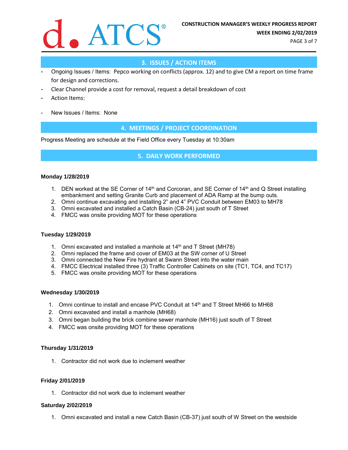

PAGE 3 of 7

## **3. ISSUES / ACTION ITEMS**

- Ongoing Issues / Items: Pepco working on conflicts (approx. 12) and to give CM a report on time frame for design and corrections.
- Clear Channel provide a cost for removal, request a detail breakdown of cost
- Action Items:
- New Issues / Items: None

### **4. MEETINGS / PROJECT COORDINATION**

Progress Meeting are schedule at the Field Office every Tuesday at 10:30am

#### **5. DAILY WORK PERFORMED**

#### **Monday 1/28/2019**

- 1. DEN worked at the SE Corner of 14<sup>th</sup> and Corcoran, and SE Corner of 14<sup>th</sup> and Q Street installing embankment and setting Granite Curb and placement of ADA Ramp at the bump outs.
- 2. Omni continue excavating and installing 2" and 4" PVC Conduit between EM03 to MH78
- 3. Omni excavated and installed a Catch Basin (CB-24) just south of T Street
- 4. FMCC was onsite providing MOT for these operations

#### **Tuesday 1/29/2019**

- 1. Omni excavated and installed a manhole at  $14<sup>th</sup>$  and T Street (MH78)
- 2. Omni replaced the frame and cover of EM03 at the SW corner of U Street
- 3. Omni connected the New Fire hydrant at Swann Street into the water main
- 4. FMCC Electrical installed three (3) Traffic Controller Cabinets on site (TC1, TC4, and TC17)
- 5. FMCC was onsite providing MOT for these operations

#### **Wednesday 1/30/2019**

- 1. Omni continue to install and encase PVC Conduit at 14th and T Street MH66 to MH68
- 2. Omni excavated and install a manhole (MH68)
- 3. Omni began building the brick combine sewer manhole (MH16) just south of T Street
- 4. FMCC was onsite providing MOT for these operations

#### **Thursday 1/31/2019**

1. Contractor did not work due to inclement weather

#### **Friday 2/01/2019**

1. Contractor did not work due to inclement weather

#### **Saturday 2/02/2019**

1. Omni excavated and install a new Catch Basin (CB-37) just south of W Street on the westside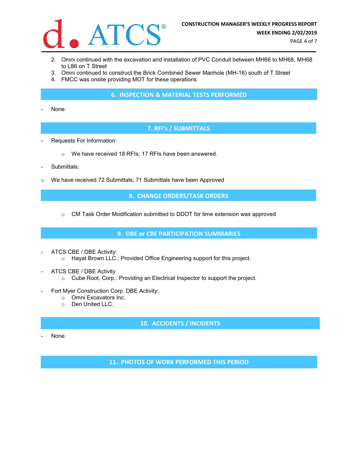

- 2. Omni continued with the excavation and installation of PVC Conduit between MH66 to MH68, MH68 to L86 on T Street
- 3. Omni continued to construct the Brick Combined Sewer Manhole (MH-16) south of T Street
- 4. FMCC was onsite providing MOT for these operations

#### **6. INSPECTION & MATERIAL TESTS PERFORMED**

None

## **7. RFI's / SUBMITTALS**

- Requests For Information:
	- o We have received 18 RFIs; 17 RFIs have been answered.
- Submittals:
- o We have received 72 Submittals; 71 Submittals have been Approved

**8. CHANGE ORDERS/TASK ORDERS**

 $\circ$  CM Task Order Modification submitted to DDOT for time extension was approved

**9. DBE or CBE PARTICIPATION SUMMARIES**

- ATCS CBE / DBE Activity: o Hayat Brown LLC.: Provided Office Engineering support for this project.
- ATCS CBE / DBE Activity
	- o Cube Root, Corp.: Providing an Electrical Inspector to support the project.
- Fort Myer Construction Corp. DBE Activity:
	- o Omni Excavators Inc.
	- o Den United LLC.

# **10. ACCIDENTS / INCIDENTS**

None

**11. PHOTOS OF WORK PERFORMED THIS PERIOD**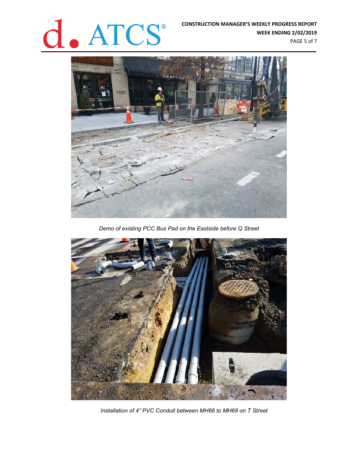# **CONSTRUCTION MANAGER'S WEEKLY PROGRESS REPORT**<br>WEEK ENDING 2/02/2019

**WEEK ENDING 2/02/2019**

PAGE 5 of 7



*Demo of existing PCC Bus Pad on the Eastside before Q Street*



*Installation of 4" PVC Conduit between MH66 to MH68 on T Street*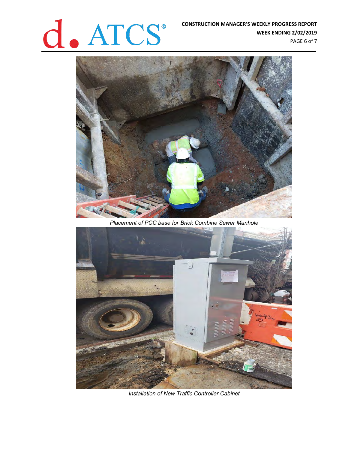# **CONSTRUCTION MANAGER'S WEEKLY PROGRESS REPORT<br>WEEK ENDING 2/02/2019**<br>PAGE 6 of 7

**WEEK ENDING 2/02/2019** PAGE 6 of 7



*Placement of PCC base for Brick Combine Sewer Manhole*



*Installation of New Traffic Controller Cabinet*